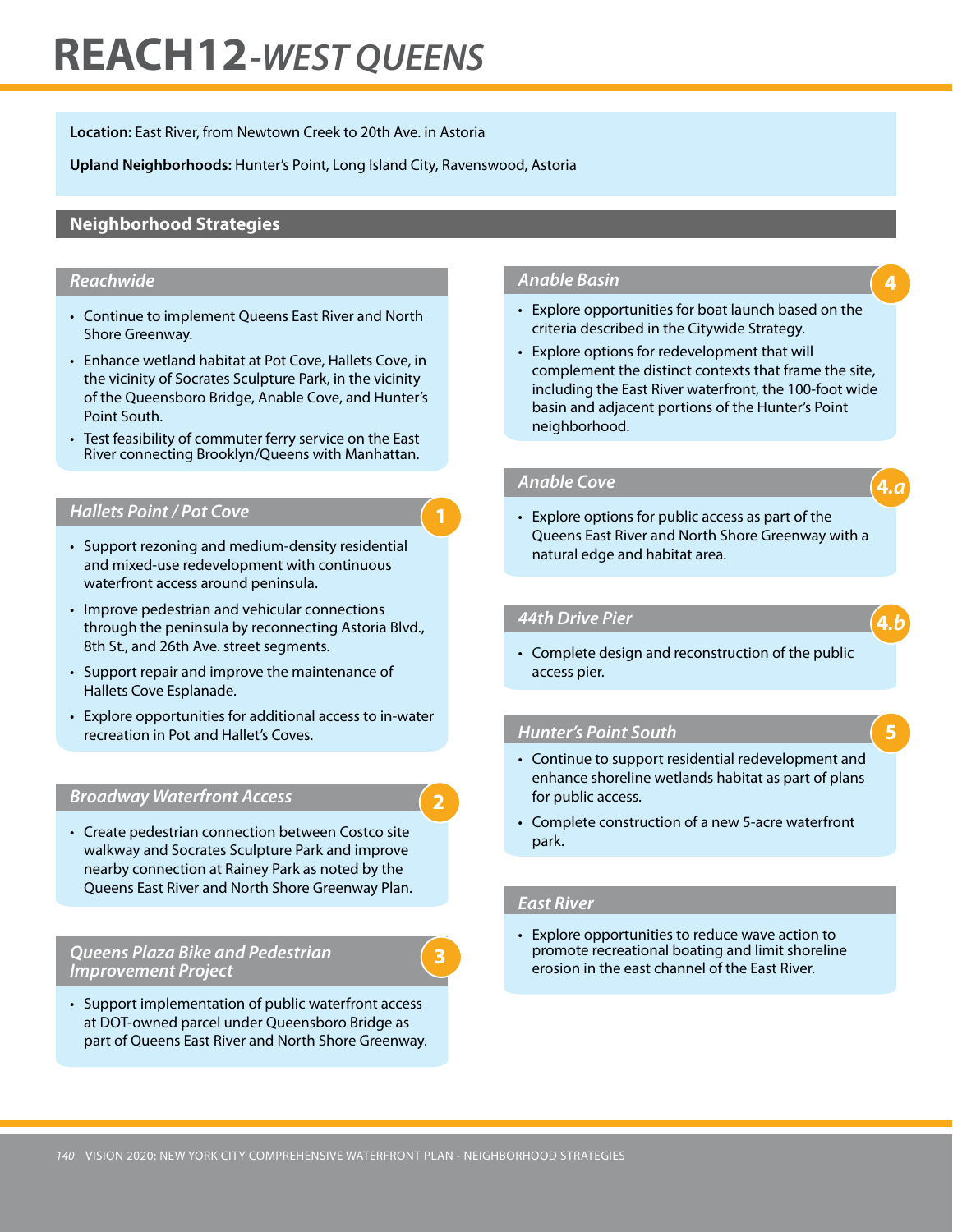# **REACH 12***-WEST QUEENS*

**Location:** East River, from Newtown Creek to 20th Ave. in Astoria

**Upland Neighborhoods:** Hunter's Point, Long Island City, Ravenswood, Astoria

# **Neighborhood Strategies**

## *Reachwide*

- Continue to implement Queens East River and North Shore Greenway.
- Enhance wetland habitat at Pot Cove, Hallets Cove, in the vicinity of Socrates Sculpture Park, in the vicinity of the Queensboro Bridge, Anable Cove, and Hunter's Point South.
- Test feasibility of commuter ferry service on the East River connecting Brooklyn/Queens with Manhattan.

## **Hallets Point / Pot Cove**

- Support rezoning and medium-density residential and mixed-use redevelopment with continuous waterfront access around peninsula.
- Improve pedestrian and vehicular connections through the peninsula by reconnecting Astoria Blvd., 8th St., and 26th Ave. street segments.
- Support repair and improve the maintenance of Hallets Cove Esplanade.
- • Explore opportunities for additional access to in-water recreation in Pot and Hallet's Coves.

# *Broadway Waterfront Access*

• Create pedestrian connection between Costco site walkway and Socrates Sculpture Park and improve nearby connection at Rainey Park as noted by the Queens East River and North Shore Greenway Plan.

## *Queens Plaza Bike and Pedestrian Improvement Project*

• Support implementation of public waterfront access at DOT-owned parcel under Queensboro Bridge as part of Queens East River and North Shore Greenway.

#### *Anable Basin*

- Explore opportunities for boat launch based on the criteria described in the Citywide Strategy.
- Explore options for redevelopment that will complement the distinct contexts that frame the site, including the East River waterfront, the 100-foot wide basin and adjacent portions of the Hunter's Point neighborhood.

# *Anable Cove*

**1**

**2**

**3**

• Explore options for public access as part of the Queens East River and North Shore Greenway with a natural edge and habitat area.

## *44th Drive Pier*

• Complete design and reconstruction of the public access pier.

## *Hunter's Point South*

- Continue to support residential redevelopment and enhance shoreline wetlands habitat as part of plans for public access.
- • Complete construction of a new 5-acre waterfront park.

## *East River*

• Explore opportunities to reduce wave action to promote recreational boating and limit shoreline erosion in the east channel of the East River.

**4**

**4***.a*

**5**

**4***.b*